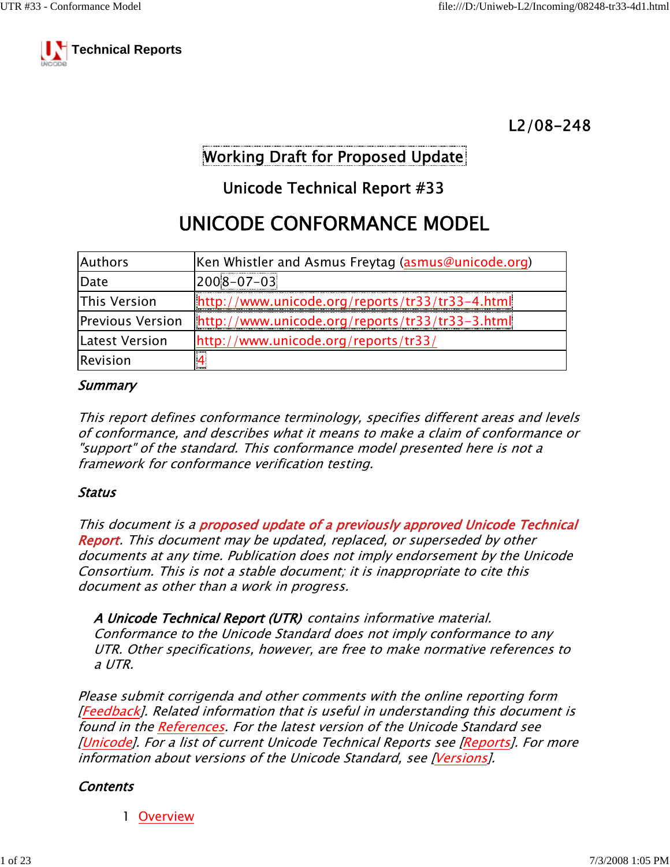

L2/08-248

# Working Draft for Proposed Update

# Unicode Technical Report #33

# UNICODE CONFORMANCE MODEL

| <b>Authors</b>   | Ken Whistler and Asmus Freytag (asmus@unicode.org) |
|------------------|----------------------------------------------------|
| Date             | $2008 - 07 - 03$                                   |
| This Version     | http://www.unicode.org/reports/tr33/tr33-4.html    |
| Previous Version | http://www.unicode.org/reports/tr33/tr33-3.html    |
| Latest Version   | http://www.unicode.org/reports/tr33/               |
| Revision         |                                                    |

### **Summary**

This report defines conformance terminology, specifies different areas and levels of conformance, and describes what it means to make a claim of conformance or "support" of the standard. This conformance model presented here is not a framework for conformance verification testing.

#### Status

This document is a proposed update of a previously approved Unicode Technical Report. This document may be updated, replaced, or superseded by other documents at any time. Publication does not imply endorsement by the Unicode Consortium. This is not a stable document; it is inappropriate to cite this document as other than a work in progress.

A Unicode Technical Report (UTR) contains informative material. Conformance to the Unicode Standard does not imply conformance to any UTR. Other specifications, however, are free to make normative references to a UTR.

Please submit corrigenda and other comments with the online reporting form [Feedback]. Related information that is useful in understanding this document is found in the References. For the latest version of the Unicode Standard see [Unicode]. For a list of current Unicode Technical Reports see [Reports]. For more information about versions of the Unicode Standard, see [Versions].

### Contents

1 Overview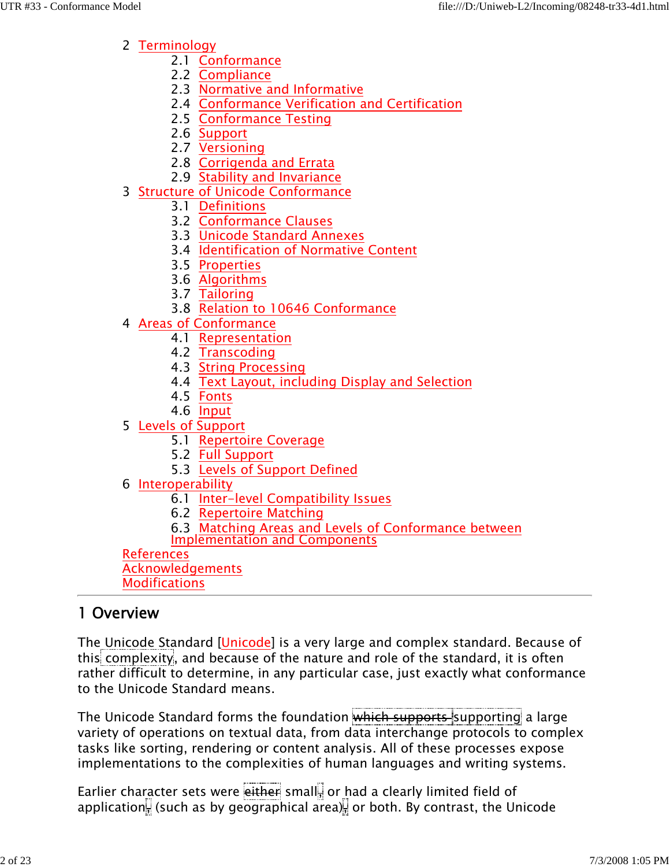- 2 Terminology
	- 2.1 Conformance
	- 2.2 Compliance
	- 2.3 Normative and Informative
	- 2.4 Conformance Verification and Certification
	- 2.5 Conformance Testing
	- 2.6 Support
	- 2.7 Versioning
	- 2.8 Corrigenda and Errata
	- 2.9 Stability and Invariance
- 3 Structure of Unicode Conformance
	- 3.1 Definitions
	- 3.2 Conformance Clauses
	- 3.3 Unicode Standard Annexes
	- 3.4 Identification of Normative Content
	- 3.5 Properties
	- 3.6 Algorithms
	- 3.7 Tailoring
	- 3.8 Relation to 10646 Conformance
- 4 **Areas of Conformance** 
	- 4.1 Representation
	- 4.2 Transcoding
	- 4.3 String Processing
	- 4.4 Text Layout, including Display and Selection
	- 4.5 Fonts
	- 4.6 Input
- 5 Levels of Support
	- 5.1 Repertoire Coverage
	- 5.2 Full Support
	- 5.3 Levels of Support Defined
- 6 Interoperability
	- 6.1 Inter-level Compatibility Issues
	- 6.2 Repertoire Matching
	- 6.3 Matching Areas and Levels of Conformance between Implementation and Components
	-

References

Acknowledgements

**Modifications** 

### 1 Overview

The Unicode Standard [Unicode] is a very large and complex standard. Because of this complexity, and because of the nature and role of the standard, it is often rather difficult to determine, in any particular case, just exactly what conformance to the Unicode Standard means.

The Unicode Standard forms the foundation which supports supporting a large variety of operations on textual data, from data interchange protocols to complex tasks like sorting, rendering or content analysis. All of these processes expose implementations to the complexities of human languages and writing systems.

Earlier character sets were either small, or had a clearly limited field of application, (such as by geographical area), or both. By contrast, the Unicode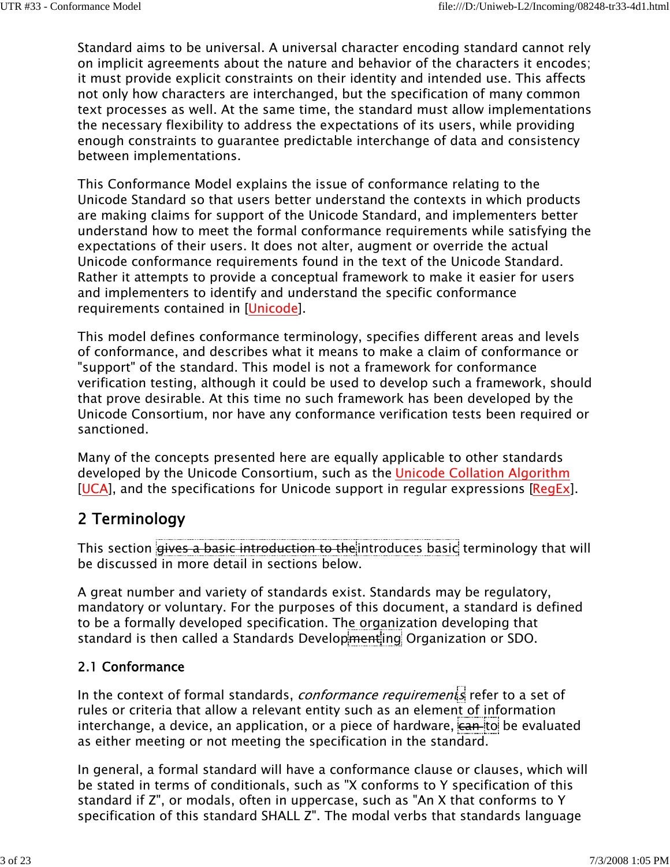Standard aims to be universal. A universal character encoding standard cannot rely on implicit agreements about the nature and behavior of the characters it encodes; it must provide explicit constraints on their identity and intended use. This affects not only how characters are interchanged, but the specification of many common text processes as well. At the same time, the standard must allow implementations the necessary flexibility to address the expectations of its users, while providing enough constraints to guarantee predictable interchange of data and consistency between implementations.

This Conformance Model explains the issue of conformance relating to the Unicode Standard so that users better understand the contexts in which products are making claims for support of the Unicode Standard, and implementers better understand how to meet the formal conformance requirements while satisfying the expectations of their users. It does not alter, augment or override the actual Unicode conformance requirements found in the text of the Unicode Standard. Rather it attempts to provide a conceptual framework to make it easier for users and implementers to identify and understand the specific conformance requirements contained in [Unicode].

This model defines conformance terminology, specifies different areas and levels of conformance, and describes what it means to make a claim of conformance or "support" of the standard. This model is not a framework for conformance verification testing, although it could be used to develop such a framework, should that prove desirable. At this time no such framework has been developed by the Unicode Consortium, nor have any conformance verification tests been required or sanctioned.

Many of the concepts presented here are equally applicable to other standards developed by the Unicode Consortium, such as the Unicode Collation Algorithm [UCA], and the specifications for Unicode support in regular expressions [RegEx].

# 2 Terminology

This section gives a basic introduction to theintroduces basic terminology that will be discussed in more detail in sections below.

A great number and variety of standards exist. Standards may be regulatory, mandatory or voluntary. For the purposes of this document, a standard is defined to be a formally developed specification. The organization developing that standard is then called a Standards Developmenting Organization or SDO.

### 2.1 Conformance

In the context of formal standards, *conformance requirements* refer to a set of rules or criteria that allow a relevant entity such as an element of information interchange, a device, an application, or a piece of hardware, can to be evaluated as either meeting or not meeting the specification in the standard.

In general, a formal standard will have a conformance clause or clauses, which will be stated in terms of conditionals, such as "X conforms to Y specification of this standard if Z", or modals, often in uppercase, such as "An X that conforms to Y specification of this standard SHALL Z". The modal verbs that standards language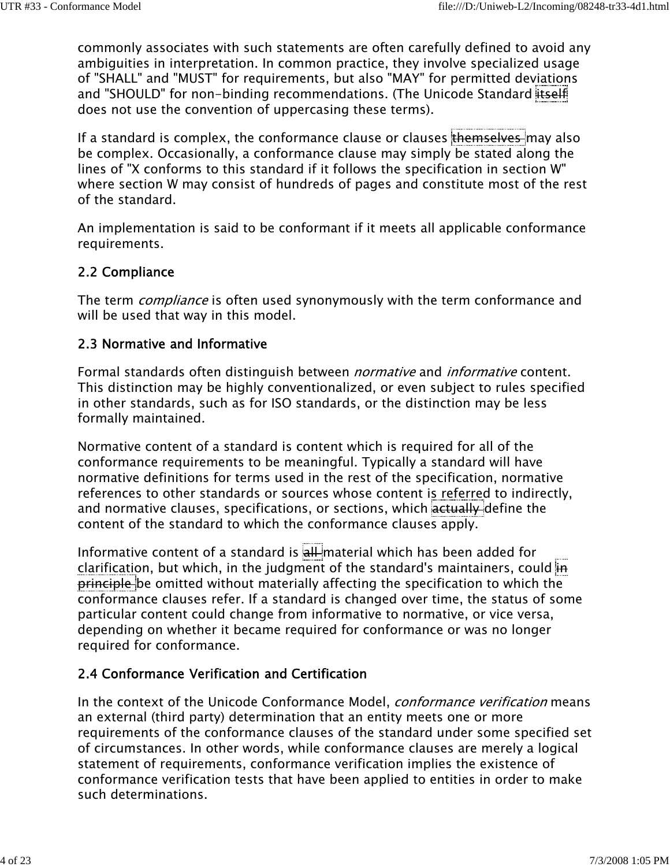commonly associates with such statements are often carefully defined to avoid any ambiguities in interpretation. In common practice, they involve specialized usage of "SHALL" and "MUST" for requirements, but also "MAY" for permitted deviations and "SHOULD" for non-binding recommendations. (The Unicode Standard itself does not use the convention of uppercasing these terms).

If a standard is complex, the conformance clause or clauses themselves may also be complex. Occasionally, a conformance clause may simply be stated along the lines of "X conforms to this standard if it follows the specification in section W" where section W may consist of hundreds of pages and constitute most of the rest of the standard.

An implementation is said to be conformant if it meets all applicable conformance requirements.

### 2.2 Compliance

The term *compliance* is often used synonymously with the term conformance and will be used that way in this model.

### 2.3 Normative and Informative

Formal standards often distinguish between normative and informative content. This distinction may be highly conventionalized, or even subject to rules specified in other standards, such as for ISO standards, or the distinction may be less formally maintained.

Normative content of a standard is content which is required for all of the conformance requirements to be meaningful. Typically a standard will have normative definitions for terms used in the rest of the specification, normative references to other standards or sources whose content is referred to indirectly, and normative clauses, specifications, or sections, which actually define the content of the standard to which the conformance clauses apply.

Informative content of a standard is all material which has been added for clarification, but which, in the judgment of the standard's maintainers, could in principle be omitted without materially affecting the specification to which the conformance clauses refer. If a standard is changed over time, the status of some particular content could change from informative to normative, or vice versa, depending on whether it became required for conformance or was no longer required for conformance.

### 2.4 Conformance Verification and Certification

In the context of the Unicode Conformance Model, *conformance verification* means an external (third party) determination that an entity meets one or more requirements of the conformance clauses of the standard under some specified set of circumstances. In other words, while conformance clauses are merely a logical statement of requirements, conformance verification implies the existence of conformance verification tests that have been applied to entities in order to make such determinations.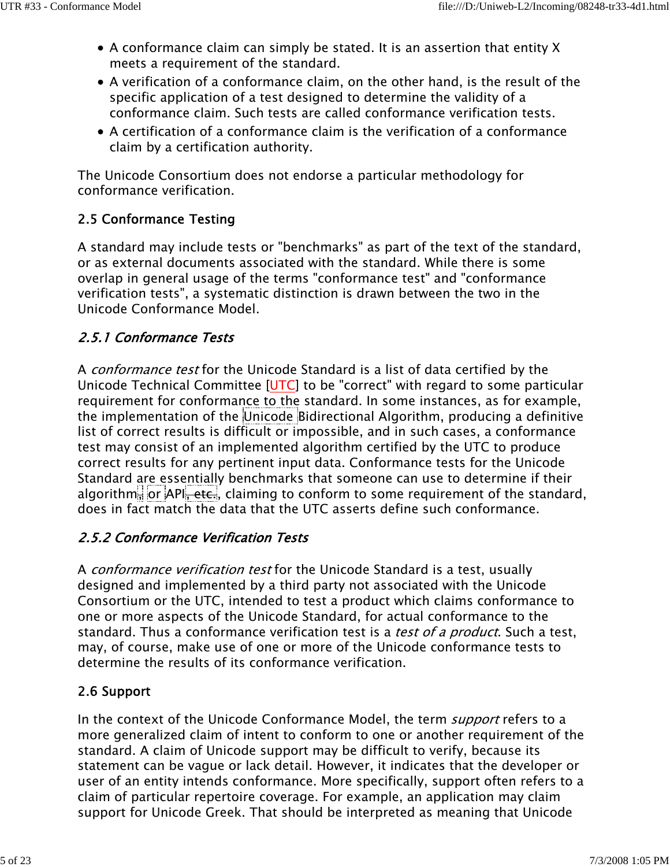- A conformance claim can simply be stated. It is an assertion that entity X meets a requirement of the standard.
- A verification of a conformance claim, on the other hand, is the result of the specific application of a test designed to determine the validity of a conformance claim. Such tests are called conformance verification tests.
- A certification of a conformance claim is the verification of a conformance claim by a certification authority.

The Unicode Consortium does not endorse a particular methodology for conformance verification.

### 2.5 Conformance Testing

A standard may include tests or "benchmarks" as part of the text of the standard, or as external documents associated with the standard. While there is some overlap in general usage of the terms "conformance test" and "conformance verification tests", a systematic distinction is drawn between the two in the Unicode Conformance Model.

### 2.5.1 Conformance Tests

A *conformance test* for the Unicode Standard is a list of data certified by the Unicode Technical Committee [UTC] to be "correct" with regard to some particular requirement for conformance to the standard. In some instances, as for example, the implementation of the Unicode Bidirectional Algorithm, producing a definitive list of correct results is difficult or impossible, and in such cases, a conformance test may consist of an implemented algorithm certified by the UTC to produce correct results for any pertinent input data. Conformance tests for the Unicode Standard are essentially benchmarks that someone can use to determine if their algorithm, or API, etc., claiming to conform to some requirement of the standard, does in fact match the data that the UTC asserts define such conformance.

### 2.5.2 Conformance Verification Tests

A *conformance verification test* for the Unicode Standard is a test, usually designed and implemented by a third party not associated with the Unicode Consortium or the UTC, intended to test a product which claims conformance to one or more aspects of the Unicode Standard, for actual conformance to the standard. Thus a conformance verification test is a *test of a product*. Such a test, may, of course, make use of one or more of the Unicode conformance tests to determine the results of its conformance verification.

### 2.6 Support

In the context of the Unicode Conformance Model, the term *support* refers to a more generalized claim of intent to conform to one or another requirement of the standard. A claim of Unicode support may be difficult to verify, because its statement can be vague or lack detail. However, it indicates that the developer or user of an entity intends conformance. More specifically, support often refers to a claim of particular repertoire coverage. For example, an application may claim support for Unicode Greek. That should be interpreted as meaning that Unicode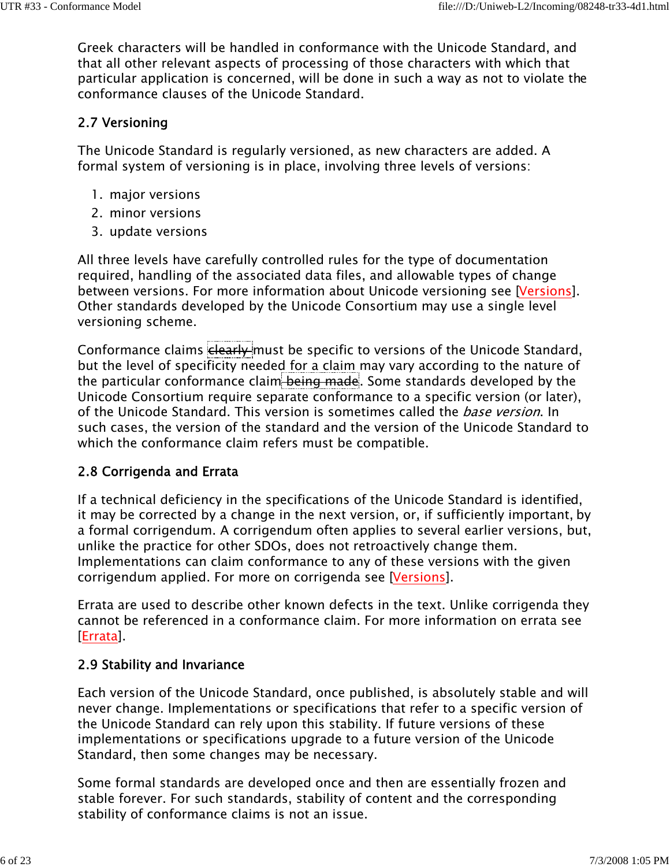Greek characters will be handled in conformance with the Unicode Standard, and that all other relevant aspects of processing of those characters with which that particular application is concerned, will be done in such a way as not to violate the conformance clauses of the Unicode Standard.

### 2.7 Versioning

The Unicode Standard is regularly versioned, as new characters are added. A formal system of versioning is in place, involving three levels of versions:

- 1. major versions
- 2. minor versions
- 3. update versions

All three levels have carefully controlled rules for the type of documentation required, handling of the associated data files, and allowable types of change between versions. For more information about Unicode versioning see [Versions]. Other standards developed by the Unicode Consortium may use a single level versioning scheme.

Conformance claims clearly must be specific to versions of the Unicode Standard, but the level of specificity needed for a claim may vary according to the nature of the particular conformance claim being made. Some standards developed by the Unicode Consortium require separate conformance to a specific version (or later), of the Unicode Standard. This version is sometimes called the *base version*. In such cases, the version of the standard and the version of the Unicode Standard to which the conformance claim refers must be compatible.

### 2.8 Corrigenda and Errata

If a technical deficiency in the specifications of the Unicode Standard is identified, it may be corrected by a change in the next version, or, if sufficiently important, by a formal corrigendum. A corrigendum often applies to several earlier versions, but, unlike the practice for other SDOs, does not retroactively change them. Implementations can claim conformance to any of these versions with the given corrigendum applied. For more on corrigenda see [Versions].

Errata are used to describe other known defects in the text. Unlike corrigenda they cannot be referenced in a conformance claim. For more information on errata see [Errata].

#### 2.9 Stability and Invariance

Each version of the Unicode Standard, once published, is absolutely stable and will never change. Implementations or specifications that refer to a specific version of the Unicode Standard can rely upon this stability. If future versions of these implementations or specifications upgrade to a future version of the Unicode Standard, then some changes may be necessary.

Some formal standards are developed once and then are essentially frozen and stable forever. For such standards, stability of content and the corresponding stability of conformance claims is not an issue.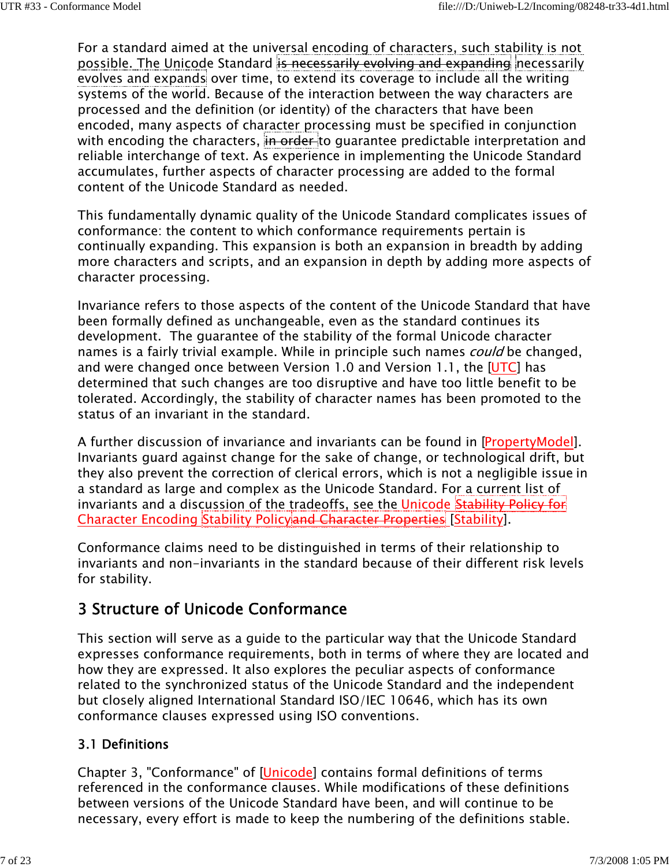For a standard aimed at the universal encoding of characters, such stability is not possible. The Unicode Standard is necessarily evolving and expanding necessarily evolves and expands over time, to extend its coverage to include all the writing systems of the world. Because of the interaction between the way characters are processed and the definition (or identity) of the characters that have been encoded, many aspects of character processing must be specified in conjunction with encoding the characters, in order to quarantee predictable interpretation and reliable interchange of text. As experience in implementing the Unicode Standard accumulates, further aspects of character processing are added to the formal content of the Unicode Standard as needed.

This fundamentally dynamic quality of the Unicode Standard complicates issues of conformance: the content to which conformance requirements pertain is continually expanding. This expansion is both an expansion in breadth by adding more characters and scripts, and an expansion in depth by adding more aspects of character processing.

Invariance refers to those aspects of the content of the Unicode Standard that have been formally defined as unchangeable, even as the standard continues its development. The guarantee of the stability of the formal Unicode character names is a fairly trivial example. While in principle such names *could* be changed, and were changed once between Version 1.0 and Version 1.1, the [UTC] has determined that such changes are too disruptive and have too little benefit to be tolerated. Accordingly, the stability of character names has been promoted to the status of an invariant in the standard.

A further discussion of invariance and invariants can be found in [PropertyModel]. Invariants guard against change for the sake of change, or technological drift, but they also prevent the correction of clerical errors, which is not a negligible issue in a standard as large and complex as the Unicode Standard. For a current list of invariants and a discussion of the tradeoffs, see the Unicode Stability Policy for Character Encoding Stability Policyand Character Properties [Stability].

Conformance claims need to be distinguished in terms of their relationship to invariants and non-invariants in the standard because of their different risk levels for stability.

# 3 Structure of Unicode Conformance

This section will serve as a guide to the particular way that the Unicode Standard expresses conformance requirements, both in terms of where they are located and how they are expressed. It also explores the peculiar aspects of conformance related to the synchronized status of the Unicode Standard and the independent but closely aligned International Standard ISO/IEC 10646, which has its own conformance clauses expressed using ISO conventions.

### 3.1 Definitions

Chapter 3, "Conformance" of [Unicode] contains formal definitions of terms referenced in the conformance clauses. While modifications of these definitions between versions of the Unicode Standard have been, and will continue to be necessary, every effort is made to keep the numbering of the definitions stable.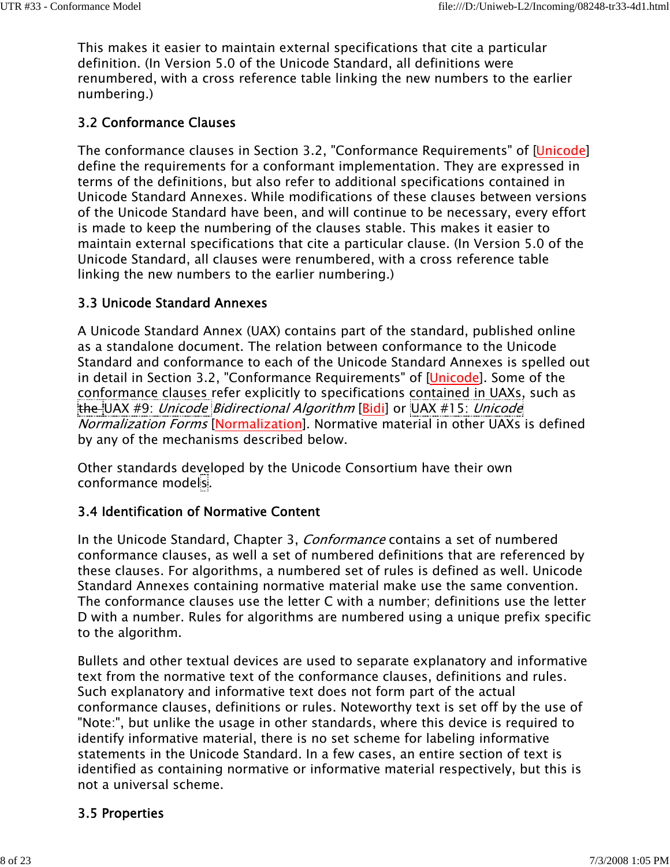This makes it easier to maintain external specifications that cite a particular definition. (In Version 5.0 of the Unicode Standard, all definitions were renumbered, with a cross reference table linking the new numbers to the earlier numbering.)

### 3.2 Conformance Clauses

The conformance clauses in Section 3.2, "Conformance Requirements" of [Unicode] define the requirements for a conformant implementation. They are expressed in terms of the definitions, but also refer to additional specifications contained in Unicode Standard Annexes. While modifications of these clauses between versions of the Unicode Standard have been, and will continue to be necessary, every effort is made to keep the numbering of the clauses stable. This makes it easier to maintain external specifications that cite a particular clause. (In Version 5.0 of the Unicode Standard, all clauses were renumbered, with a cross reference table linking the new numbers to the earlier numbering.)

### 3.3 Unicode Standard Annexes

A Unicode Standard Annex (UAX) contains part of the standard, published online as a standalone document. The relation between conformance to the Unicode Standard and conformance to each of the Unicode Standard Annexes is spelled out in detail in Section 3.2, "Conformance Requirements" of [Unicode]. Some of the conformance clauses refer explicitly to specifications contained in UAXs, such as the UAX #9: Unicode Bidirectional Algorithm [Bidi] or UAX #15: Unicode Normalization Forms [Normalization]. Normative material in other UAXs is defined by any of the mechanisms described below.

Other standards developed by the Unicode Consortium have their own conformance models.

### 3.4 Identification of Normative Content

In the Unicode Standard, Chapter 3, *Conformance* contains a set of numbered conformance clauses, as well a set of numbered definitions that are referenced by these clauses. For algorithms, a numbered set of rules is defined as well. Unicode Standard Annexes containing normative material make use the same convention. The conformance clauses use the letter C with a number; definitions use the letter D with a number. Rules for algorithms are numbered using a unique prefix specific to the algorithm.

Bullets and other textual devices are used to separate explanatory and informative text from the normative text of the conformance clauses, definitions and rules. Such explanatory and informative text does not form part of the actual conformance clauses, definitions or rules. Noteworthy text is set off by the use of "Note:", but unlike the usage in other standards, where this device is required to identify informative material, there is no set scheme for labeling informative statements in the Unicode Standard. In a few cases, an entire section of text is identified as containing normative or informative material respectively, but this is not a universal scheme.

### 3.5 Properties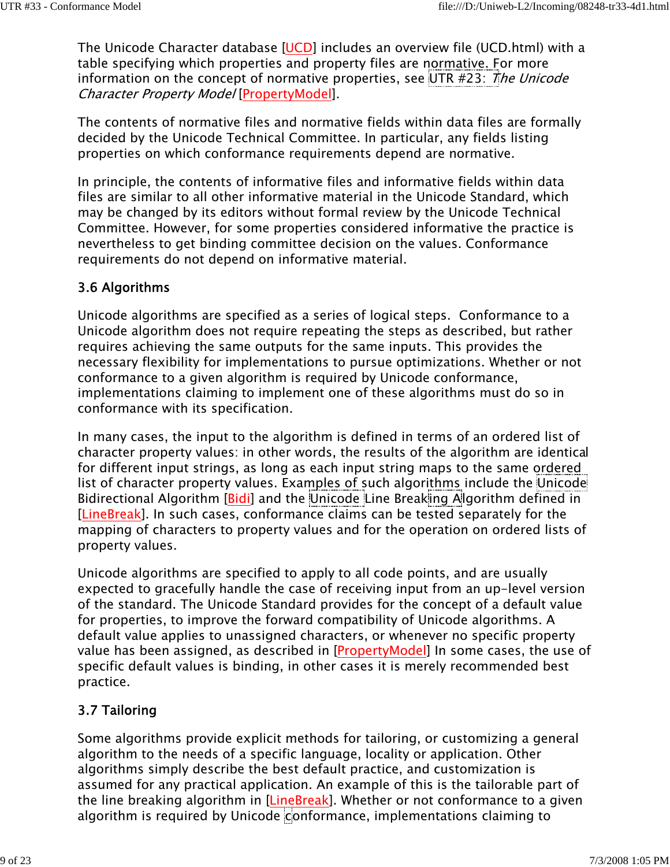The Unicode Character database [UCD] includes an overview file (UCD.html) with a table specifying which properties and property files are normative. For more information on the concept of normative properties, see UTR #23: The Unicode Character Property Model [PropertyModel].

The contents of normative files and normative fields within data files are formally decided by the Unicode Technical Committee. In particular, any fields listing properties on which conformance requirements depend are normative.

In principle, the contents of informative files and informative fields within data files are similar to all other informative material in the Unicode Standard, which may be changed by its editors without formal review by the Unicode Technical Committee. However, for some properties considered informative the practice is nevertheless to get binding committee decision on the values. Conformance requirements do not depend on informative material.

### 3.6 Algorithms

Unicode algorithms are specified as a series of logical steps. Conformance to a Unicode algorithm does not require repeating the steps as described, but rather requires achieving the same outputs for the same inputs. This provides the necessary flexibility for implementations to pursue optimizations. Whether or not conformance to a given algorithm is required by Unicode conformance, implementations claiming to implement one of these algorithms must do so in conformance with its specification.

In many cases, the input to the algorithm is defined in terms of an ordered list of character property values: in other words, the results of the algorithm are identical for different input strings, as long as each input string maps to the same ordered list of character property values. Examples of such algorithms include the Unicode Bidirectional Algorithm [Bidi] and the Unicode Line Breaking Algorithm defined in [LineBreak]. In such cases, conformance claims can be tested separately for the mapping of characters to property values and for the operation on ordered lists of property values.

Unicode algorithms are specified to apply to all code points, and are usually expected to gracefully handle the case of receiving input from an up-level version of the standard. The Unicode Standard provides for the concept of a default value for properties, to improve the forward compatibility of Unicode algorithms. A default value applies to unassigned characters, or whenever no specific property value has been assigned, as described in [PropertyModel] In some cases, the use of specific default values is binding, in other cases it is merely recommended best practice.

### 3.7 Tailoring

Some algorithms provide explicit methods for tailoring, or customizing a general algorithm to the needs of a specific language, locality or application. Other algorithms simply describe the best default practice, and customization is assumed for any practical application. An example of this is the tailorable part of the line breaking algorithm in [LineBreak]. Whether or not conformance to a given algorithm is required by Unicode conformance, implementations claiming to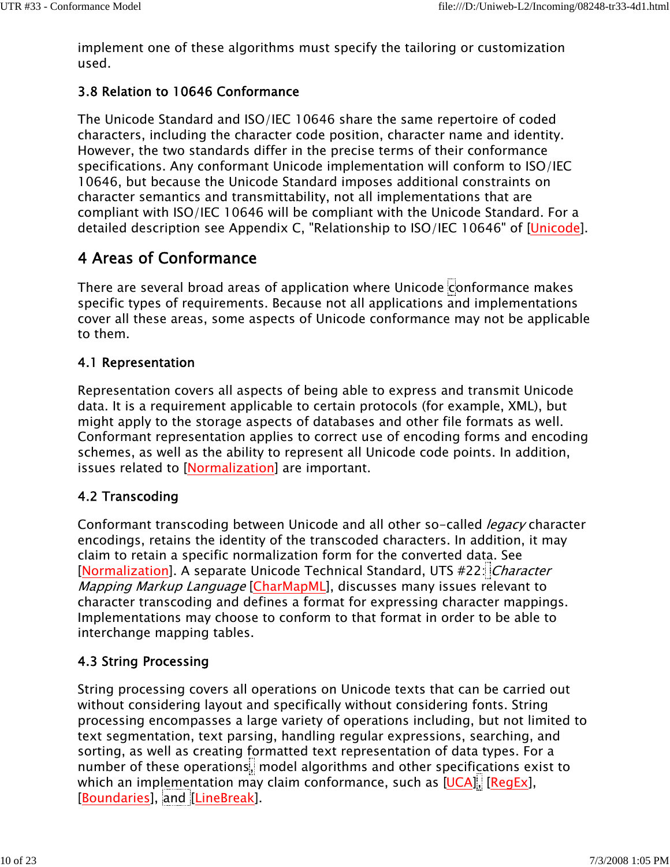implement one of these algorithms must specify the tailoring or customization used.

### 3.8 Relation to 10646 Conformance

The Unicode Standard and ISO/IEC 10646 share the same repertoire of coded characters, including the character code position, character name and identity. However, the two standards differ in the precise terms of their conformance specifications. Any conformant Unicode implementation will conform to ISO/IEC 10646, but because the Unicode Standard imposes additional constraints on character semantics and transmittability, not all implementations that are compliant with ISO/IEC 10646 will be compliant with the Unicode Standard. For a detailed description see Appendix C, "Relationship to ISO/IEC 10646" of [Unicode].

# 4 Areas of Conformance

There are several broad areas of application where Unicode conformance makes specific types of requirements. Because not all applications and implementations cover all these areas, some aspects of Unicode conformance may not be applicable to them.

### 4.1 Representation

Representation covers all aspects of being able to express and transmit Unicode data. It is a requirement applicable to certain protocols (for example, XML), but might apply to the storage aspects of databases and other file formats as well. Conformant representation applies to correct use of encoding forms and encoding schemes, as well as the ability to represent all Unicode code points. In addition, issues related to [Normalization] are important.

### 4.2 Transcoding

Conformant transcoding between Unicode and all other so-called *legacy* character encodings, retains the identity of the transcoded characters. In addition, it may claim to retain a specific normalization form for the converted data. See [Normalization]. A separate Unicode Technical Standard, UTS #22: Character Mapping Markup Language [CharMapML], discusses many issues relevant to character transcoding and defines a format for expressing character mappings. Implementations may choose to conform to that format in order to be able to interchange mapping tables.

### 4.3 String Processing

String processing covers all operations on Unicode texts that can be carried out without considering layout and specifically without considering fonts. String processing encompasses a large variety of operations including, but not limited to text segmentation, text parsing, handling regular expressions, searching, and sorting, as well as creating formatted text representation of data types. For a number of these operations, model algorithms and other specifications exist to which an implementation may claim conformance, such as  $[UCA]$ ,  $[RegEx]$ , [Boundaries], and [LineBreak].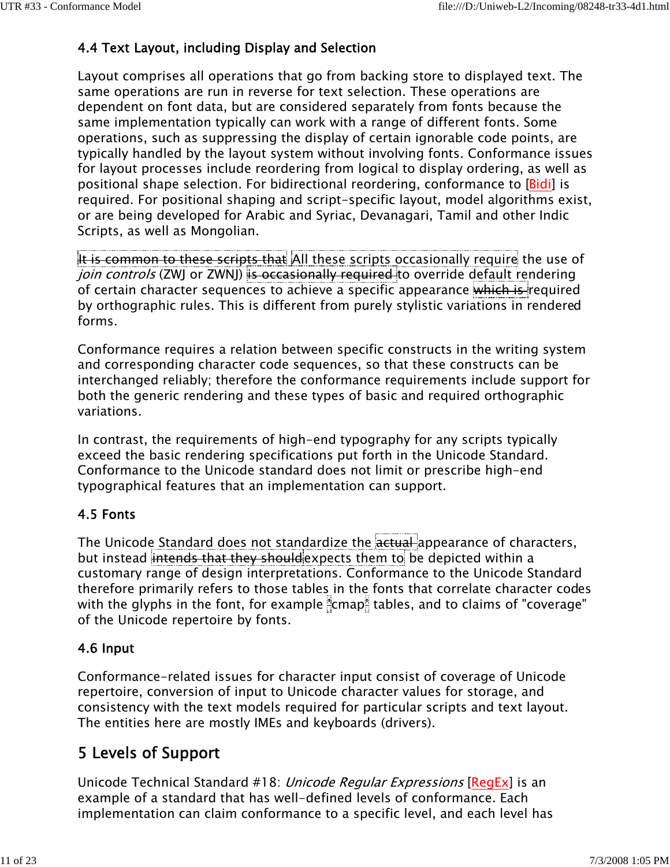### 4.4 Text Layout, including Display and Selection

Layout comprises all operations that go from backing store to displayed text. The same operations are run in reverse for text selection. These operations are dependent on font data, but are considered separately from fonts because the same implementation typically can work with a range of different fonts. Some operations, such as suppressing the display of certain ignorable code points, are typically handled by the layout system without involving fonts. Conformance issues for layout processes include reordering from logical to display ordering, as well as positional shape selection. For bidirectional reordering, conformance to [Bidi] is required. For positional shaping and script-specific layout, model algorithms exist, or are being developed for Arabic and Syriac, Devanagari, Tamil and other Indic Scripts, as well as Mongolian.

It is common to these scripts that All these scripts occasionally require the use of join controls (ZWJ or ZWNJ) is occasionally required to override default rendering of certain character sequences to achieve a specific appearance which is required by orthographic rules. This is different from purely stylistic variations in rendered forms.

Conformance requires a relation between specific constructs in the writing system and corresponding character code sequences, so that these constructs can be interchanged reliably; therefore the conformance requirements include support for both the generic rendering and these types of basic and required orthographic variations.

In contrast, the requirements of high-end typography for any scripts typically exceed the basic rendering specifications put forth in the Unicode Standard. Conformance to the Unicode standard does not limit or prescribe high-end typographical features that an implementation can support.

### 4.5 Fonts

The Unicode Standard does not standardize the actual appearance of characters, but instead intends that they shouldexpects them to be depicted within a customary range of design interpretations. Conformance to the Unicode Standard therefore primarily refers to those tables in the fonts that correlate character codes with the glyphs in the font, for example  $\frac{1}{2}$ cmap<sup>"</sup> tables, and to claims of "coverage" of the Unicode repertoire by fonts.

### 4.6 Input

Conformance-related issues for character input consist of coverage of Unicode repertoire, conversion of input to Unicode character values for storage, and consistency with the text models required for particular scripts and text layout. The entities here are mostly IMEs and keyboards (drivers).

# 5 Levels of Support

Unicode Technical Standard #18: *Unicode Regular Expressions* [RegEx] is an example of a standard that has well-defined levels of conformance. Each implementation can claim conformance to a specific level, and each level has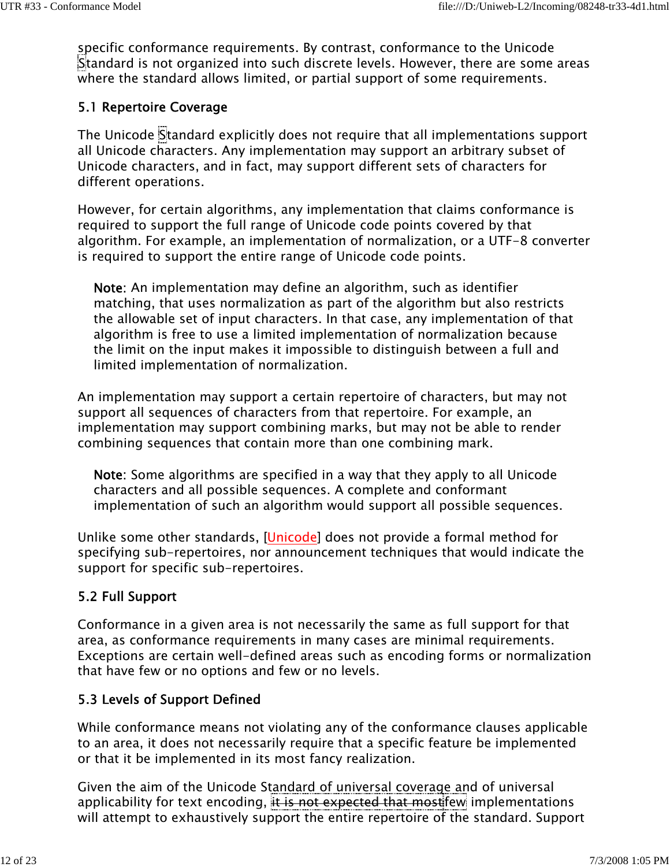specific conformance requirements. By contrast, conformance to the Unicode Standard is not organized into such discrete levels. However, there are some areas where the standard allows limited, or partial support of some requirements.

### 5.1 Repertoire Coverage

The Unicode Standard explicitly does not require that all implementations support all Unicode characters. Any implementation may support an arbitrary subset of Unicode characters, and in fact, may support different sets of characters for different operations.

However, for certain algorithms, any implementation that claims conformance is required to support the full range of Unicode code points covered by that algorithm. For example, an implementation of normalization, or a UTF-8 converter is required to support the entire range of Unicode code points.

Note: An implementation may define an algorithm, such as identifier matching, that uses normalization as part of the algorithm but also restricts the allowable set of input characters. In that case, any implementation of that algorithm is free to use a limited implementation of normalization because the limit on the input makes it impossible to distinguish between a full and limited implementation of normalization.

An implementation may support a certain repertoire of characters, but may not support all sequences of characters from that repertoire. For example, an implementation may support combining marks, but may not be able to render combining sequences that contain more than one combining mark.

Note: Some algorithms are specified in a way that they apply to all Unicode characters and all possible sequences. A complete and conformant implementation of such an algorithm would support all possible sequences.

Unlike some other standards, [Unicode] does not provide a formal method for specifying sub-repertoires, nor announcement techniques that would indicate the support for specific sub-repertoires.

### 5.2 Full Support

Conformance in a given area is not necessarily the same as full support for that area, as conformance requirements in many cases are minimal requirements. Exceptions are certain well-defined areas such as encoding forms or normalization that have few or no options and few or no levels.

### 5.3 Levels of Support Defined

While conformance means not violating any of the conformance clauses applicable to an area, it does not necessarily require that a specific feature be implemented or that it be implemented in its most fancy realization.

Given the aim of the Unicode Standard of universal coverage and of universal applicability for text encoding, it is not expected that most few implementations will attempt to exhaustively support the entire repertoire of the standard. Support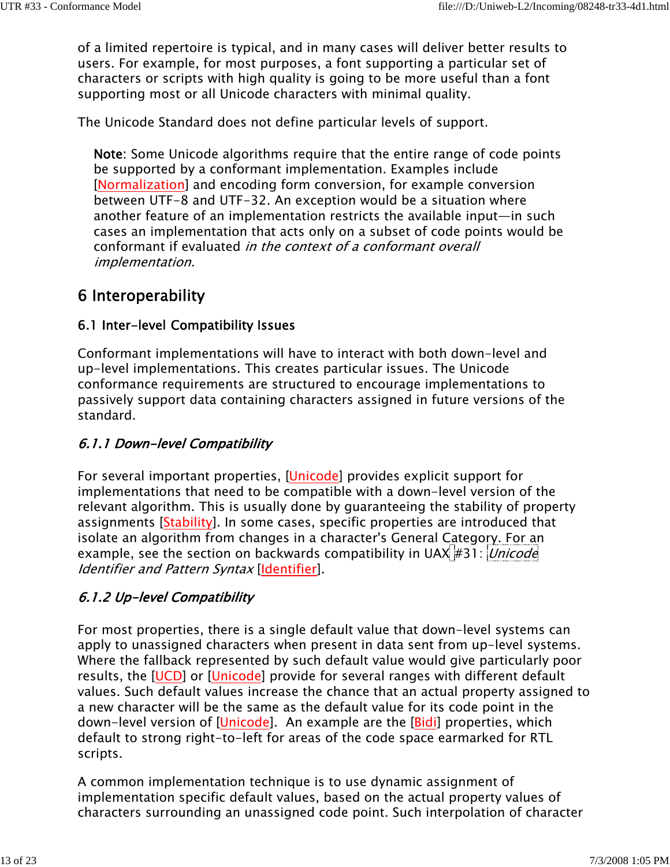of a limited repertoire is typical, and in many cases will deliver better results to users. For example, for most purposes, a font supporting a particular set of characters or scripts with high quality is going to be more useful than a font supporting most or all Unicode characters with minimal quality.

The Unicode Standard does not define particular levels of support.

Note: Some Unicode algorithms require that the entire range of code points be supported by a conformant implementation. Examples include [Normalization] and encoding form conversion, for example conversion between UTF-8 and UTF-32. An exception would be a situation where another feature of an implementation restricts the available input—in such cases an implementation that acts only on a subset of code points would be conformant if evaluated in the context of a conformant overall implementation.

# 6 Interoperability

### 6.1 Inter-level Compatibility Issues

Conformant implementations will have to interact with both down-level and up-level implementations. This creates particular issues. The Unicode conformance requirements are structured to encourage implementations to passively support data containing characters assigned in future versions of the standard.

### 6.1.1 Down-level Compatibility

For several important properties, [Unicode] provides explicit support for implementations that need to be compatible with a down-level version of the relevant algorithm. This is usually done by guaranteeing the stability of property assignments [Stability]. In some cases, specific properties are introduced that isolate an algorithm from changes in a character's General Category. For an example, see the section on backwards compatibility in UAX #31: Unicode Identifier and Pattern Syntax [Identifier].

### 6.1.2 Up-level Compatibility

For most properties, there is a single default value that down-level systems can apply to unassigned characters when present in data sent from up-level systems. Where the fallback represented by such default value would give particularly poor results, the [UCD] or [Unicode] provide for several ranges with different default values. Such default values increase the chance that an actual property assigned to a new character will be the same as the default value for its code point in the down-level version of [Unicode]. An example are the [Bidi] properties, which default to strong right-to-left for areas of the code space earmarked for RTL scripts.

A common implementation technique is to use dynamic assignment of implementation specific default values, based on the actual property values of characters surrounding an unassigned code point. Such interpolation of character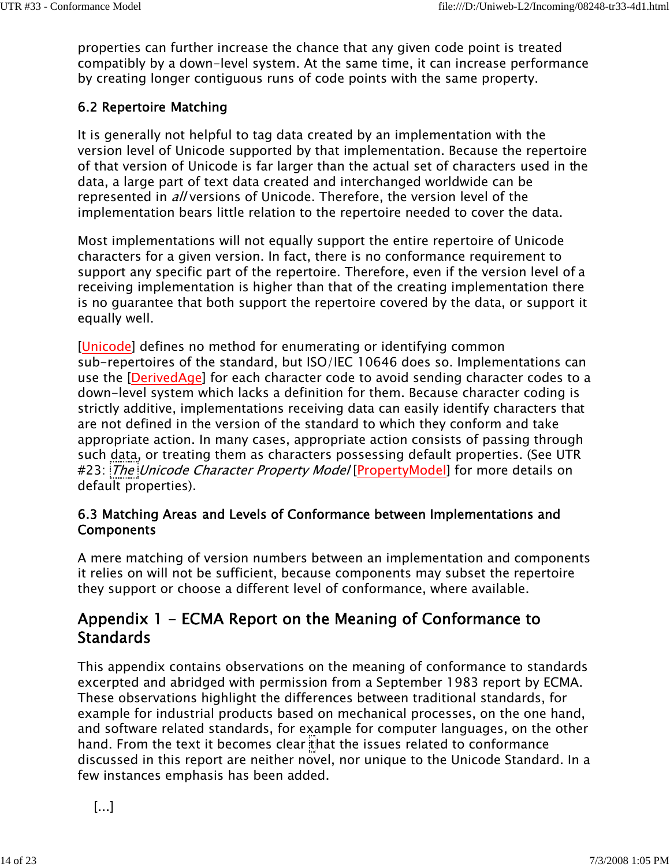properties can further increase the chance that any given code point is treated compatibly by a down-level system. At the same time, it can increase performance by creating longer contiguous runs of code points with the same property.

### 6.2 Repertoire Matching

It is generally not helpful to tag data created by an implementation with the version level of Unicode supported by that implementation. Because the repertoire of that version of Unicode is far larger than the actual set of characters used in the data, a large part of text data created and interchanged worldwide can be represented in all versions of Unicode. Therefore, the version level of the implementation bears little relation to the repertoire needed to cover the data.

Most implementations will not equally support the entire repertoire of Unicode characters for a given version. In fact, there is no conformance requirement to support any specific part of the repertoire. Therefore, even if the version level of a receiving implementation is higher than that of the creating implementation there is no guarantee that both support the repertoire covered by the data, or support it equally well.

[Unicode] defines no method for enumerating or identifying common sub-repertoires of the standard, but ISO/IEC 10646 does so. Implementations can use the [DerivedAge] for each character code to avoid sending character codes to a down-level system which lacks a definition for them. Because character coding is strictly additive, implementations receiving data can easily identify characters that are not defined in the version of the standard to which they conform and take appropriate action. In many cases, appropriate action consists of passing through such data, or treating them as characters possessing default properties. (See UTR #23: The Unicode Character Property Model [PropertyModel] for more details on default properties).

### 6.3 Matching Areas and Levels of Conformance between Implementations and **Components**

A mere matching of version numbers between an implementation and components it relies on will not be sufficient, because components may subset the repertoire they support or choose a different level of conformance, where available.

### Appendix 1 - ECMA Report on the Meaning of Conformance to **Standards**

This appendix contains observations on the meaning of conformance to standards excerpted and abridged with permission from a September 1983 report by ECMA. These observations highlight the differences between traditional standards, for example for industrial products based on mechanical processes, on the one hand, and software related standards, for example for computer languages, on the other hand. From the text it becomes clear that the issues related to conformance discussed in this report are neither novel, nor unique to the Unicode Standard. In a few instances emphasis has been added.

[...]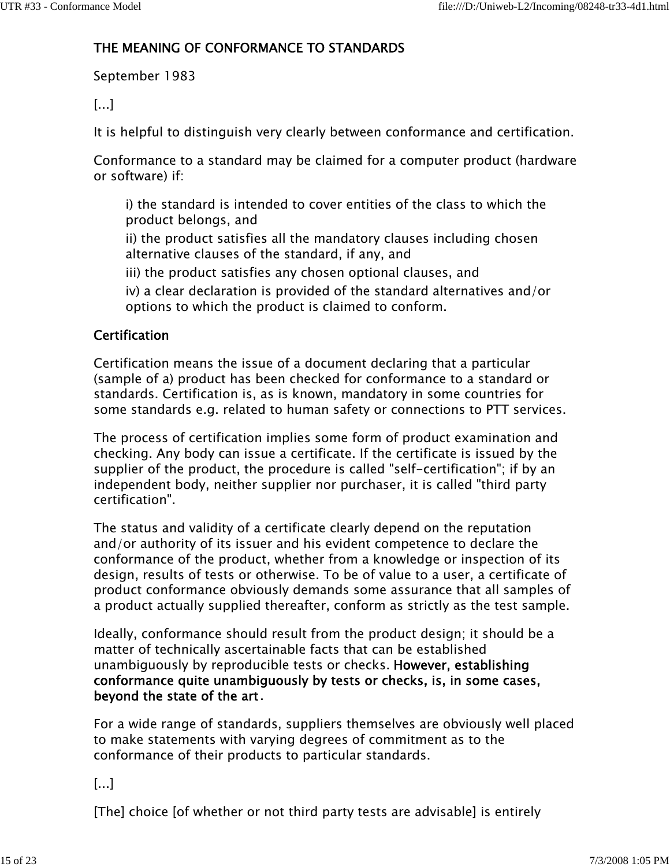### THE MEANING OF CONFORMANCE TO STANDARDS

September 1983

[...]

It is helpful to distinguish very clearly between conformance and certification.

Conformance to a standard may be claimed for a computer product (hardware or software) if:

i) the standard is intended to cover entities of the class to which the product belongs, and

ii) the product satisfies all the mandatory clauses including chosen alternative clauses of the standard, if any, and

iii) the product satisfies any chosen optional clauses, and

iv) a clear declaration is provided of the standard alternatives and/or options to which the product is claimed to conform.

### **Certification**

Certification means the issue of a document declaring that a particular (sample of a) product has been checked for conformance to a standard or standards. Certification is, as is known, mandatory in some countries for some standards e.g. related to human safety or connections to PTT services.

The process of certification implies some form of product examination and checking. Any body can issue a certificate. If the certificate is issued by the supplier of the product, the procedure is called "self-certification"; if by an independent body, neither supplier nor purchaser, it is called "third party certification".

The status and validity of a certificate clearly depend on the reputation and/or authority of its issuer and his evident competence to declare the conformance of the product, whether from a knowledge or inspection of its design, results of tests or otherwise. To be of value to a user, a certificate of product conformance obviously demands some assurance that all samples of a product actually supplied thereafter, conform as strictly as the test sample.

Ideally, conformance should result from the product design; it should be a matter of technically ascertainable facts that can be established unambiguously by reproducible tests or checks. However, establishing conformance quite unambiguously by tests or checks, is, in some cases, beyond the state of the art.

For a wide range of standards, suppliers themselves are obviously well placed to make statements with varying degrees of commitment as to the conformance of their products to particular standards.

#### [...]

[The] choice [of whether or not third party tests are advisable] is entirely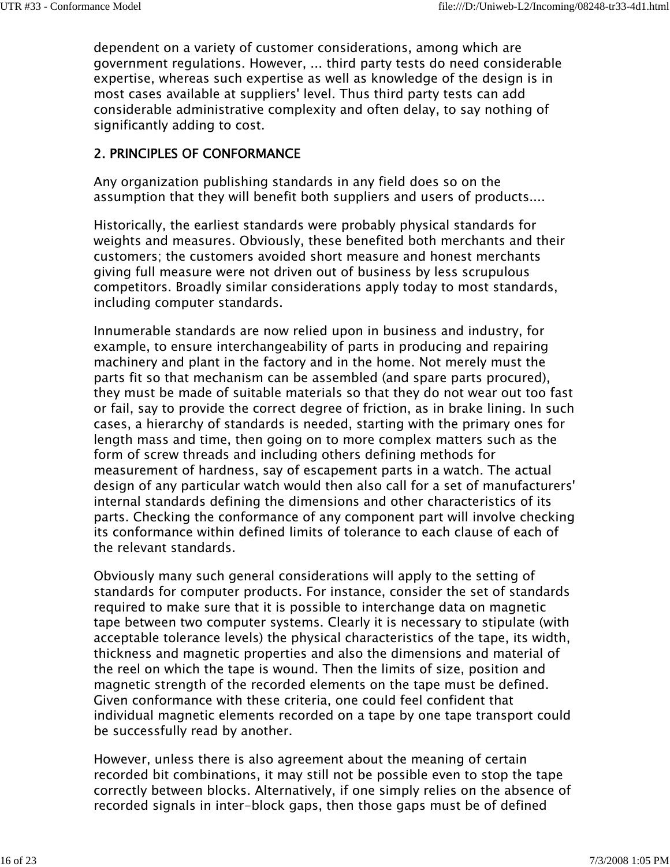dependent on a variety of customer considerations, among which are government regulations. However, ... third party tests do need considerable expertise, whereas such expertise as well as knowledge of the design is in most cases available at suppliers' level. Thus third party tests can add considerable administrative complexity and often delay, to say nothing of significantly adding to cost.

### 2. PRINCIPLES OF CONFORMANCE

Any organization publishing standards in any field does so on the assumption that they will benefit both suppliers and users of products....

Historically, the earliest standards were probably physical standards for weights and measures. Obviously, these benefited both merchants and their customers; the customers avoided short measure and honest merchants giving full measure were not driven out of business by less scrupulous competitors. Broadly similar considerations apply today to most standards, including computer standards.

Innumerable standards are now relied upon in business and industry, for example, to ensure interchangeability of parts in producing and repairing machinery and plant in the factory and in the home. Not merely must the parts fit so that mechanism can be assembled (and spare parts procured), they must be made of suitable materials so that they do not wear out too fast or fail, say to provide the correct degree of friction, as in brake lining. In such cases, a hierarchy of standards is needed, starting with the primary ones for length mass and time, then going on to more complex matters such as the form of screw threads and including others defining methods for measurement of hardness, say of escapement parts in a watch. The actual design of any particular watch would then also call for a set of manufacturers' internal standards defining the dimensions and other characteristics of its parts. Checking the conformance of any component part will involve checking its conformance within defined limits of tolerance to each clause of each of the relevant standards.

Obviously many such general considerations will apply to the setting of standards for computer products. For instance, consider the set of standards required to make sure that it is possible to interchange data on magnetic tape between two computer systems. Clearly it is necessary to stipulate (with acceptable tolerance levels) the physical characteristics of the tape, its width, thickness and magnetic properties and also the dimensions and material of the reel on which the tape is wound. Then the limits of size, position and magnetic strength of the recorded elements on the tape must be defined. Given conformance with these criteria, one could feel confident that individual magnetic elements recorded on a tape by one tape transport could be successfully read by another.

However, unless there is also agreement about the meaning of certain recorded bit combinations, it may still not be possible even to stop the tape correctly between blocks. Alternatively, if one simply relies on the absence of recorded signals in inter-block gaps, then those gaps must be of defined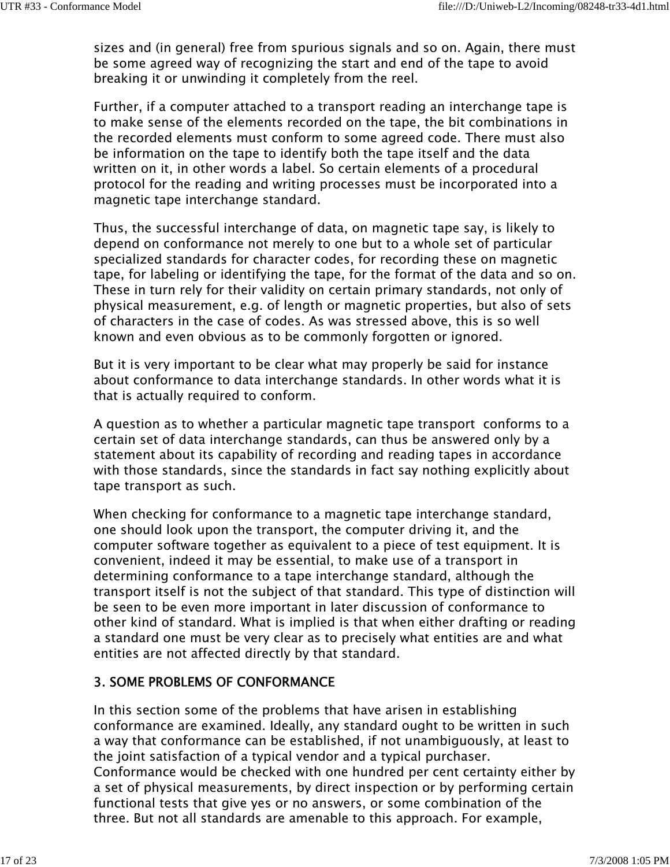sizes and (in general) free from spurious signals and so on. Again, there must be some agreed way of recognizing the start and end of the tape to avoid breaking it or unwinding it completely from the reel.

Further, if a computer attached to a transport reading an interchange tape is to make sense of the elements recorded on the tape, the bit combinations in the recorded elements must conform to some agreed code. There must also be information on the tape to identify both the tape itself and the data written on it, in other words a label. So certain elements of a procedural protocol for the reading and writing processes must be incorporated into a magnetic tape interchange standard.

Thus, the successful interchange of data, on magnetic tape say, is likely to depend on conformance not merely to one but to a whole set of particular specialized standards for character codes, for recording these on magnetic tape, for labeling or identifying the tape, for the format of the data and so on. These in turn rely for their validity on certain primary standards, not only of physical measurement, e.g. of length or magnetic properties, but also of sets of characters in the case of codes. As was stressed above, this is so well known and even obvious as to be commonly forgotten or ignored.

But it is very important to be clear what may properly be said for instance about conformance to data interchange standards. In other words what it is that is actually required to conform.

A question as to whether a particular magnetic tape transport conforms to a certain set of data interchange standards, can thus be answered only by a statement about its capability of recording and reading tapes in accordance with those standards, since the standards in fact say nothing explicitly about tape transport as such.

When checking for conformance to a magnetic tape interchange standard, one should look upon the transport, the computer driving it, and the computer software together as equivalent to a piece of test equipment. It is convenient, indeed it may be essential, to make use of a transport in determining conformance to a tape interchange standard, although the transport itself is not the subject of that standard. This type of distinction will be seen to be even more important in later discussion of conformance to other kind of standard. What is implied is that when either drafting or reading a standard one must be very clear as to precisely what entities are and what entities are not affected directly by that standard.

### 3. SOME PROBLEMS OF CONFORMANCE

In this section some of the problems that have arisen in establishing conformance are examined. Ideally, any standard ought to be written in such a way that conformance can be established, if not unambiguously, at least to the joint satisfaction of a typical vendor and a typical purchaser. Conformance would be checked with one hundred per cent certainty either by a set of physical measurements, by direct inspection or by performing certain functional tests that give yes or no answers, or some combination of the three. But not all standards are amenable to this approach. For example,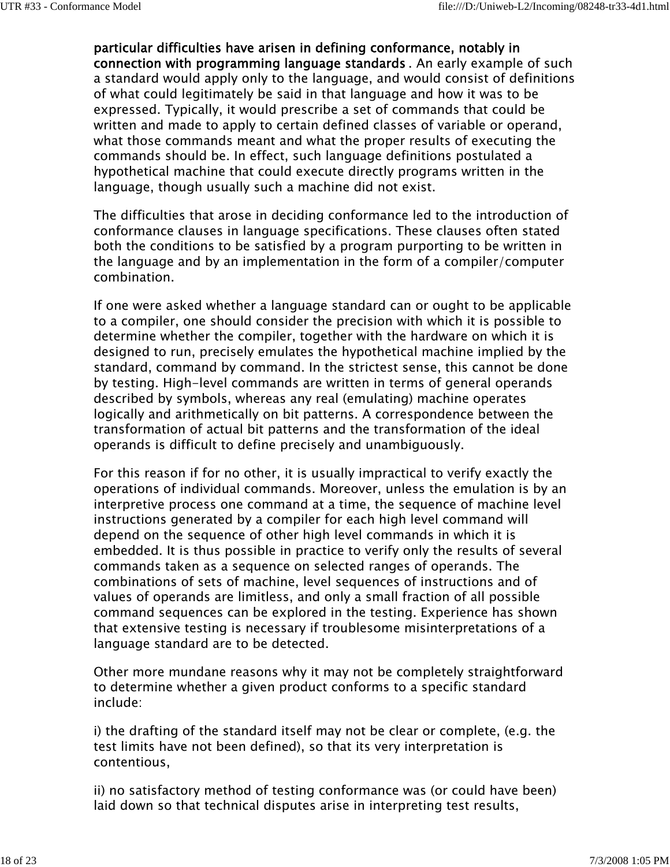particular difficulties have arisen in defining conformance, notably in connection with programming language standards . An early example of such a standard would apply only to the language, and would consist of definitions of what could legitimately be said in that language and how it was to be expressed. Typically, it would prescribe a set of commands that could be written and made to apply to certain defined classes of variable or operand, what those commands meant and what the proper results of executing the commands should be. In effect, such language definitions postulated a hypothetical machine that could execute directly programs written in the language, though usually such a machine did not exist.

The difficulties that arose in deciding conformance led to the introduction of conformance clauses in language specifications. These clauses often stated both the conditions to be satisfied by a program purporting to be written in the language and by an implementation in the form of a compiler/computer combination.

If one were asked whether a language standard can or ought to be applicable to a compiler, one should consider the precision with which it is possible to determine whether the compiler, together with the hardware on which it is designed to run, precisely emulates the hypothetical machine implied by the standard, command by command. In the strictest sense, this cannot be done by testing. High-level commands are written in terms of general operands described by symbols, whereas any real (emulating) machine operates logically and arithmetically on bit patterns. A correspondence between the transformation of actual bit patterns and the transformation of the ideal operands is difficult to define precisely and unambiguously.

For this reason if for no other, it is usually impractical to verify exactly the operations of individual commands. Moreover, unless the emulation is by an interpretive process one command at a time, the sequence of machine level instructions generated by a compiler for each high level command will depend on the sequence of other high level commands in which it is embedded. It is thus possible in practice to verify only the results of several commands taken as a sequence on selected ranges of operands. The combinations of sets of machine, level sequences of instructions and of values of operands are limitless, and only a small fraction of all possible command sequences can be explored in the testing. Experience has shown that extensive testing is necessary if troublesome misinterpretations of a language standard are to be detected.

Other more mundane reasons why it may not be completely straightforward to determine whether a given product conforms to a specific standard include:

i) the drafting of the standard itself may not be clear or complete, (e.g. the test limits have not been defined), so that its very interpretation is contentious,

ii) no satisfactory method of testing conformance was (or could have been) laid down so that technical disputes arise in interpreting test results,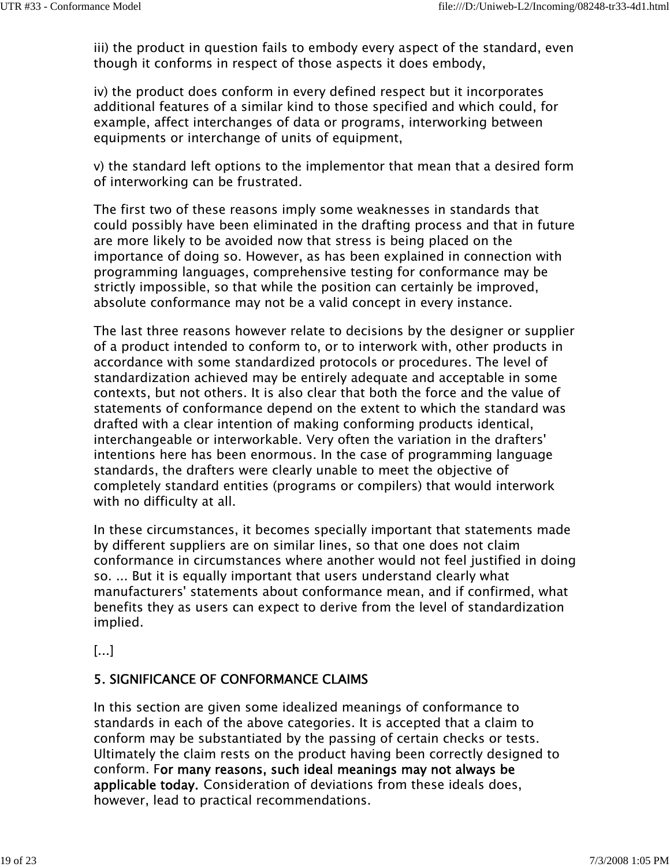iii) the product in question fails to embody every aspect of the standard, even though it conforms in respect of those aspects it does embody,

iv) the product does conform in every defined respect but it incorporates additional features of a similar kind to those specified and which could, for example, affect interchanges of data or programs, interworking between equipments or interchange of units of equipment,

v) the standard left options to the implementor that mean that a desired form of interworking can be frustrated.

The first two of these reasons imply some weaknesses in standards that could possibly have been eliminated in the drafting process and that in future are more likely to be avoided now that stress is being placed on the importance of doing so. However, as has been explained in connection with programming languages, comprehensive testing for conformance may be strictly impossible, so that while the position can certainly be improved, absolute conformance may not be a valid concept in every instance.

The last three reasons however relate to decisions by the designer or supplier of a product intended to conform to, or to interwork with, other products in accordance with some standardized protocols or procedures. The level of standardization achieved may be entirely adequate and acceptable in some contexts, but not others. It is also clear that both the force and the value of statements of conformance depend on the extent to which the standard was drafted with a clear intention of making conforming products identical, interchangeable or interworkable. Very often the variation in the drafters' intentions here has been enormous. In the case of programming language standards, the drafters were clearly unable to meet the objective of completely standard entities (programs or compilers) that would interwork with no difficulty at all.

In these circumstances, it becomes specially important that statements made by different suppliers are on similar lines, so that one does not claim conformance in circumstances where another would not feel justified in doing so. ... But it is equally important that users understand clearly what manufacturers' statements about conformance mean, and if confirmed, what benefits they as users can expect to derive from the level of standardization implied.

[...]

### 5. SIGNIFICANCE OF CONFORMANCE CLAIMS

In this section are given some idealized meanings of conformance to standards in each of the above categories. It is accepted that a claim to conform may be substantiated by the passing of certain checks or tests. Ultimately the claim rests on the product having been correctly designed to conform. For many reasons, such ideal meanings may not always be applicable today. Consideration of deviations from these ideals does, however, lead to practical recommendations.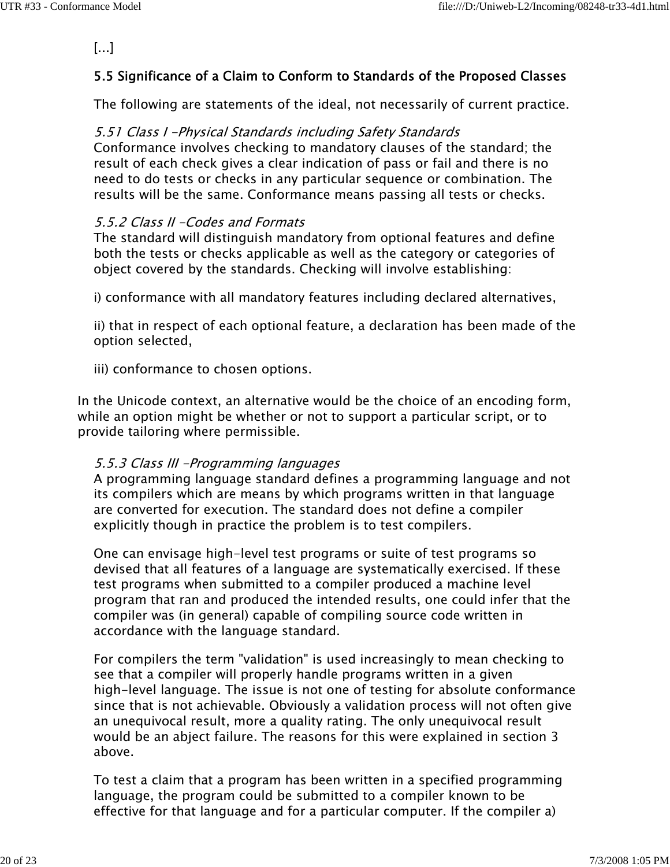### [...]

### 5.5 Significance of a Claim to Conform to Standards of the Proposed Classes

The following are statements of the ideal, not necessarily of current practice.

#### 5.51 Class I -Physical Standards including Safety Standards

Conformance involves checking to mandatory clauses of the standard; the result of each check gives a clear indication of pass or fail and there is no need to do tests or checks in any particular sequence or combination. The results will be the same. Conformance means passing all tests or checks.

#### 5.5.2 Class II -Codes and Formats

The standard will distinguish mandatory from optional features and define both the tests or checks applicable as well as the category or categories of object covered by the standards. Checking will involve establishing:

i) conformance with all mandatory features including declared alternatives,

ii) that in respect of each optional feature, a declaration has been made of the option selected,

iii) conformance to chosen options.

In the Unicode context, an alternative would be the choice of an encoding form, while an option might be whether or not to support a particular script, or to provide tailoring where permissible.

#### 5.5.3 Class III -Programming languages

A programming language standard defines a programming language and not its compilers which are means by which programs written in that language are converted for execution. The standard does not define a compiler explicitly though in practice the problem is to test compilers.

One can envisage high-level test programs or suite of test programs so devised that all features of a language are systematically exercised. If these test programs when submitted to a compiler produced a machine level program that ran and produced the intended results, one could infer that the compiler was (in general) capable of compiling source code written in accordance with the language standard.

For compilers the term "validation" is used increasingly to mean checking to see that a compiler will properly handle programs written in a given high-level language. The issue is not one of testing for absolute conformance since that is not achievable. Obviously a validation process will not often give an unequivocal result, more a quality rating. The only unequivocal result would be an abject failure. The reasons for this were explained in section 3 above.

To test a claim that a program has been written in a specified programming language, the program could be submitted to a compiler known to be effective for that language and for a particular computer. If the compiler a)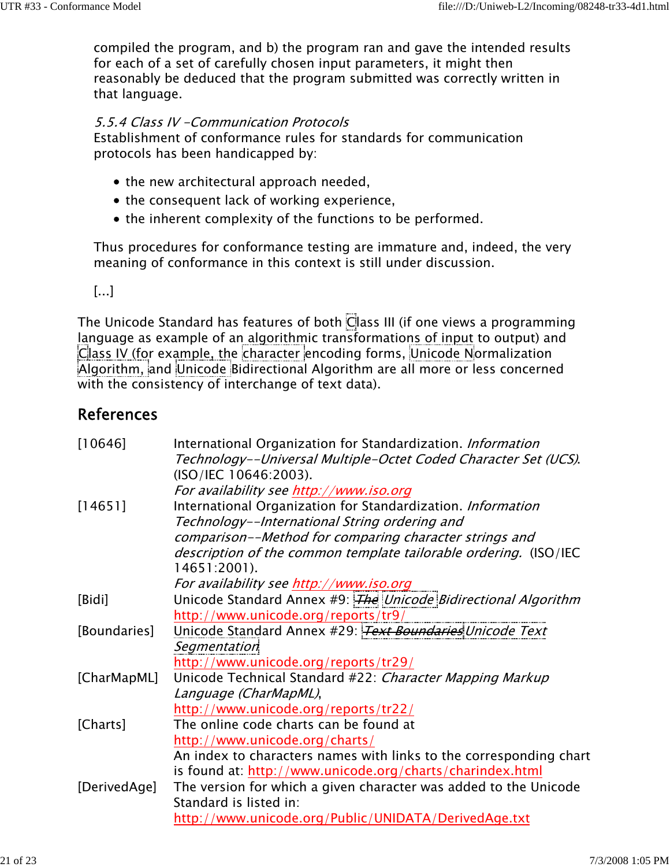compiled the program, and b) the program ran and gave the intended results for each of a set of carefully chosen input parameters, it might then reasonably be deduced that the program submitted was correctly written in that language.

#### 5.5.4 Class IV -Communication Protocols

Establishment of conformance rules for standards for communication protocols has been handicapped by:

- the new architectural approach needed,
- the consequent lack of working experience,
- the inherent complexity of the functions to be performed.

Thus procedures for conformance testing are immature and, indeed, the very meaning of conformance in this context is still under discussion.

[...]

The Unicode Standard has features of both Class III (if one views a programming language as example of an algorithmic transformations of input to output) and Class IV (for example, the character encoding forms, Unicode Normalization Algorithm, and Unicode Bidirectional Algorithm are all more or less concerned with the consistency of interchange of text data).

### References

| [10646]      | International Organization for Standardization. Information<br>Technology--Universal Multiple-Octet Coded Character Set (UCS). |
|--------------|--------------------------------------------------------------------------------------------------------------------------------|
|              | (ISO/IEC 10646:2003).                                                                                                          |
|              | For availability see http://www.iso.org                                                                                        |
| [14651]      | International Organization for Standardization. Information                                                                    |
|              | Technology--International String ordering and                                                                                  |
|              | comparison--Method for comparing character strings and                                                                         |
|              | description of the common template tailorable ordering. (ISO/IEC                                                               |
|              | 14651:2001).                                                                                                                   |
|              | For availability see http://www.iso.org                                                                                        |
| [Bidi]       | Unicode Standard Annex #9: The Unicode Bidirectional Algorithm                                                                 |
|              | http://www.unicode.org/reports/tr9/                                                                                            |
| [Boundaries] | Unicode Standard Annex #29: Text Boundaries Unicode Text                                                                       |
|              | Segmentation                                                                                                                   |
|              | http://www.unicode.org/reports/tr29/                                                                                           |
| [CharMapML]  | Unicode Technical Standard #22: Character Mapping Markup                                                                       |
|              | Language (CharMapML),                                                                                                          |
|              | http://www.unicode.org/reports/tr22/                                                                                           |
| [Charts]     | The online code charts can be found at                                                                                         |
|              | http://www.unicode.org/charts/                                                                                                 |
|              | An index to characters names with links to the corresponding chart                                                             |
|              | is found at: http://www.unicode.org/charts/charindex.html                                                                      |
| [DerivedAge] | The version for which a given character was added to the Unicode                                                               |
|              | Standard is listed in:                                                                                                         |
|              | <u> http://www.unicode.org/Public/UNIDATA/DerivedAge.txt</u>                                                                   |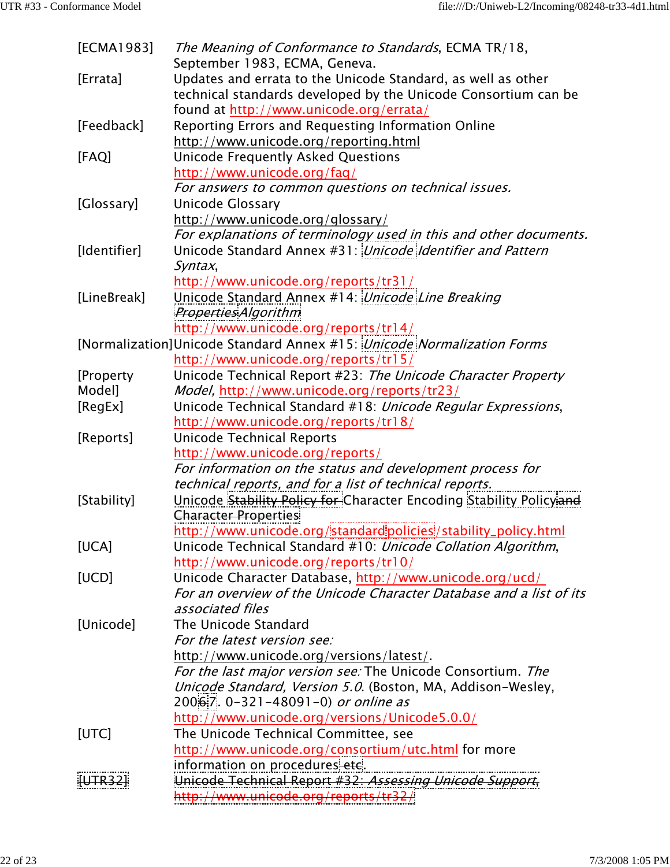| [ECMA1983]   | The Meaning of Conformance to Standards, ECMA TR/18,<br>September 1983, ECMA, Geneva.                                     |
|--------------|---------------------------------------------------------------------------------------------------------------------------|
| [Errata]     | Updates and errata to the Unicode Standard, as well as other                                                              |
|              | technical standards developed by the Unicode Consortium can be                                                            |
|              | found at http://www.unicode.org/errata/                                                                                   |
| [Feedback]   | Reporting Errors and Requesting Information Online                                                                        |
|              | http://www.unicode.org/reporting.html                                                                                     |
| [FAQ]        | <b>Unicode Frequently Asked Questions</b>                                                                                 |
|              | http://www.unicode.org/faq/                                                                                               |
|              | For answers to common questions on technical issues.                                                                      |
| [Glossary]   | Unicode Glossary                                                                                                          |
|              | http://www.unicode.org/glossary/                                                                                          |
|              | For explanations of terminology used in this and other documents.                                                         |
| [Identifier] | Unicode Standard Annex #31: Unicode Identifier and Pattern                                                                |
|              | Syntax,                                                                                                                   |
|              |                                                                                                                           |
|              | http://www.unicode.org/reports/tr31/<br>Unicode Standard Annex #14: Unicode Line Breaking                                 |
| [LineBreak]  |                                                                                                                           |
|              | Properties Algorithm                                                                                                      |
|              | http://www.unicode.org/reports/tr14/                                                                                      |
|              | [Normalization]Unicode Standard Annex #15: <i>Unicode Normalization Forms</i>                                             |
|              | http://www.unicode.org/reports/tr15/                                                                                      |
| [Property    | Unicode Technical Report #23: The Unicode Character Property                                                              |
| Model]       | Model, http://www.unicode.org/reports/tr23/                                                                               |
| [RegEx]      | Unicode Technical Standard #18: Unicode Regular Expressions,                                                              |
| [Reports]    | http://www.unicode.org/reports/tr18/                                                                                      |
|              | <b>Unicode Technical Reports</b>                                                                                          |
|              | http://www.unicode.org/reports/                                                                                           |
|              | For information on the status and development process for                                                                 |
|              | technical reports, and for a list of technical reports.                                                                   |
| [Stability]  | Unicode Stability Policy for Character Encoding Stability Policyand                                                       |
|              | <b>Character Properties</b><br>http://www.unicode.org/ <mark>standard</mark> policies <mark>/stability_policy.html</mark> |
|              |                                                                                                                           |
| [UCA]        | Unicode Technical Standard #10: Unicode Collation Algorithm,                                                              |
|              | http://www.unicode.org/reports/tr10/                                                                                      |
| [UCD]        | Unicode Character Database, http://www.unicode.org/ucd/                                                                   |
|              | For an overview of the Unicode Character Database and a list of its                                                       |
|              | associated files                                                                                                          |
| [Unicode]    | The Unicode Standard                                                                                                      |
|              | For the latest version see:                                                                                               |
|              | http://www.unicode.org/versions/latest/.                                                                                  |
|              | For the last major version see: The Unicode Consortium. The                                                               |
|              | Unicode Standard, Version 5.0. (Boston, MA, Addison-Wesley,                                                               |
|              | 20067. 0-321-48091-0) or online as                                                                                        |
|              | http://www.unicode.org/versions/Unicode5.0.0/                                                                             |
| [UTC]        | The Unicode Technical Committee, see                                                                                      |
|              | http://www.unicode.org/consortium/utc.html for more                                                                       |
|              | information on procedures <del> etc</del> .                                                                               |
|              | Unicode Technical Report #32: Assessing Unicode Support,                                                                  |
|              | <del>unicode.org/reports</del>                                                                                            |